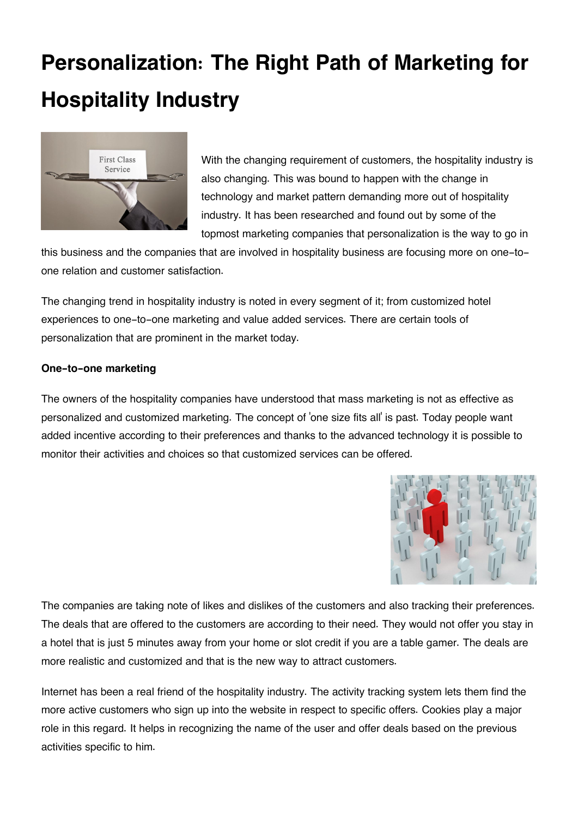## **Personalization: The Right Path of Marketing for Hospitality Industry**



With the changing requirement of customers, the hospitality industry is also changing. This was bound to happen with the change in technology and market pattern demanding more out of hospitality industry. It has been researched and found out by some of the topmost marketing companies that personalization is the way to go in

this business and the companies that are involved in hospitality business are focusing more on one-toone relation and customer satisfaction.

The changing trend in hospitality industry is noted in every segment of it; from customized hotel experiences to one-to-one marketing and value added services. There are certain tools of personalization that are prominent in the market today.

## **One-to-one marketing**

The owners of the hospitality companies have understood that mass marketing is not as effective as personalized and customized marketing. The concept of 'one size fits all' is past. Today people want added incentive according to their preferences and thanks to the advanced technology it is possible to monitor their activities and choices so that customized services can be offered.



The companies are taking note of likes and dislikes of the customers and also tracking their preferences. The deals that are offered to the customers are according to their need. They would not offer you stay in a hotel that is just 5 minutes away from your home or slot credit if you are a table gamer. The deals are more realistic and customized and that is the new way to attract customers.

Internet has been a real friend of the hospitality industry. The activity tracking system lets them find the more active customers who sign up into the website in respect to specific offers. Cookies play a major role in this regard. It helps in recognizing the name of the user and offer deals based on the previous activities specific to him.